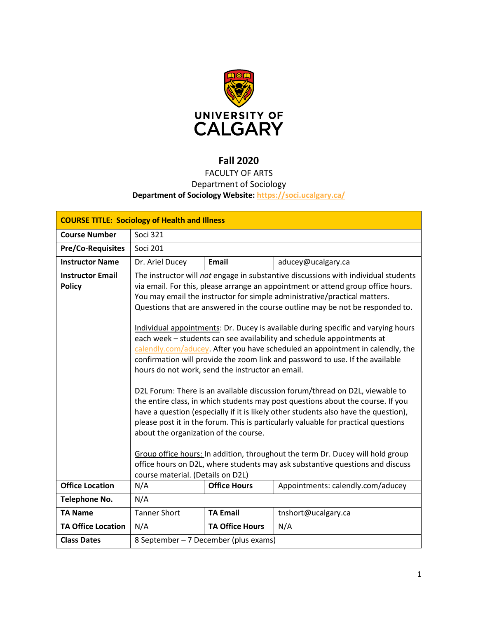

# **Fall 2020**

# FACULTY OF ARTS Department of Sociology **Department of Sociology Website:<https://soci.ucalgary.ca/>**

| <b>COURSE TITLE: Sociology of Health and Illness</b> |                                                                                                                                |                        |                                                                                                                                                                                                                                                                                                                                                                                                                                                                                                                                                                                                                                                                                                                                                                                                                                                                                                                                                                                                                                                                                                                                                                                          |  |
|------------------------------------------------------|--------------------------------------------------------------------------------------------------------------------------------|------------------------|------------------------------------------------------------------------------------------------------------------------------------------------------------------------------------------------------------------------------------------------------------------------------------------------------------------------------------------------------------------------------------------------------------------------------------------------------------------------------------------------------------------------------------------------------------------------------------------------------------------------------------------------------------------------------------------------------------------------------------------------------------------------------------------------------------------------------------------------------------------------------------------------------------------------------------------------------------------------------------------------------------------------------------------------------------------------------------------------------------------------------------------------------------------------------------------|--|
| <b>Course Number</b>                                 | <b>Soci 321</b>                                                                                                                |                        |                                                                                                                                                                                                                                                                                                                                                                                                                                                                                                                                                                                                                                                                                                                                                                                                                                                                                                                                                                                                                                                                                                                                                                                          |  |
| <b>Pre/Co-Requisites</b>                             | <b>Soci 201</b>                                                                                                                |                        |                                                                                                                                                                                                                                                                                                                                                                                                                                                                                                                                                                                                                                                                                                                                                                                                                                                                                                                                                                                                                                                                                                                                                                                          |  |
| <b>Instructor Name</b>                               | Dr. Ariel Ducey                                                                                                                | <b>Email</b>           | aducey@ucalgary.ca                                                                                                                                                                                                                                                                                                                                                                                                                                                                                                                                                                                                                                                                                                                                                                                                                                                                                                                                                                                                                                                                                                                                                                       |  |
| <b>Instructor Email</b><br><b>Policy</b>             | hours do not work, send the instructor an email.<br>about the organization of the course.<br>course material. (Details on D2L) |                        | The instructor will not engage in substantive discussions with individual students<br>via email. For this, please arrange an appointment or attend group office hours.<br>You may email the instructor for simple administrative/practical matters.<br>Questions that are answered in the course outline may be not be responded to.<br>Individual appointments: Dr. Ducey is available during specific and varying hours<br>each week - students can see availability and schedule appointments at<br>calendly.com/aducey. After you have scheduled an appointment in calendly, the<br>confirmation will provide the zoom link and password to use. If the available<br>D2L Forum: There is an available discussion forum/thread on D2L, viewable to<br>the entire class, in which students may post questions about the course. If you<br>have a question (especially if it is likely other students also have the question),<br>please post it in the forum. This is particularly valuable for practical questions<br>Group office hours: In addition, throughout the term Dr. Ducey will hold group<br>office hours on D2L, where students may ask substantive questions and discuss |  |
| <b>Office Location</b>                               | N/A                                                                                                                            | <b>Office Hours</b>    | Appointments: calendly.com/aducey                                                                                                                                                                                                                                                                                                                                                                                                                                                                                                                                                                                                                                                                                                                                                                                                                                                                                                                                                                                                                                                                                                                                                        |  |
| <b>Telephone No.</b>                                 | N/A                                                                                                                            |                        |                                                                                                                                                                                                                                                                                                                                                                                                                                                                                                                                                                                                                                                                                                                                                                                                                                                                                                                                                                                                                                                                                                                                                                                          |  |
| <b>TA Name</b>                                       | <b>Tanner Short</b>                                                                                                            | <b>TA Email</b>        | tnshort@ucalgary.ca                                                                                                                                                                                                                                                                                                                                                                                                                                                                                                                                                                                                                                                                                                                                                                                                                                                                                                                                                                                                                                                                                                                                                                      |  |
| <b>TA Office Location</b>                            | N/A                                                                                                                            | <b>TA Office Hours</b> | N/A                                                                                                                                                                                                                                                                                                                                                                                                                                                                                                                                                                                                                                                                                                                                                                                                                                                                                                                                                                                                                                                                                                                                                                                      |  |
| <b>Class Dates</b>                                   | 8 September – 7 December (plus exams)                                                                                          |                        |                                                                                                                                                                                                                                                                                                                                                                                                                                                                                                                                                                                                                                                                                                                                                                                                                                                                                                                                                                                                                                                                                                                                                                                          |  |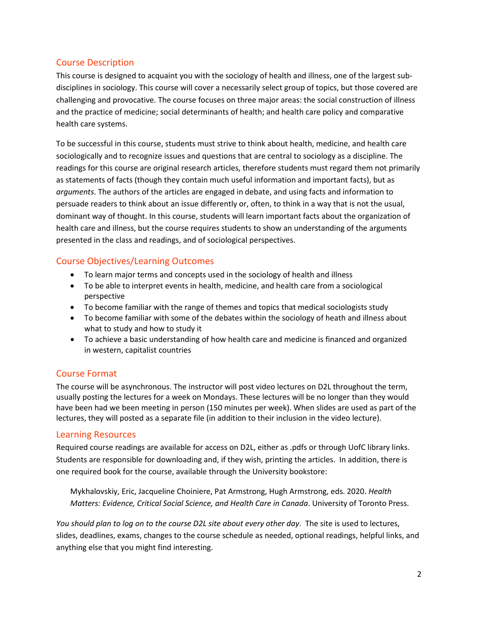### Course Description

This course is designed to acquaint you with the sociology of health and illness, one of the largest subdisciplines in sociology. This course will cover a necessarily select group of topics, but those covered are challenging and provocative. The course focuses on three major areas: the social construction of illness and the practice of medicine; social determinants of health; and health care policy and comparative health care systems.

To be successful in this course, students must strive to think about health, medicine, and health care sociologically and to recognize issues and questions that are central to sociology as a discipline. The readings for this course are original research articles, therefore students must regard them not primarily as statements of facts (though they contain much useful information and important facts), but as *arguments*. The authors of the articles are engaged in debate, and using facts and information to persuade readers to think about an issue differently or, often, to think in a way that is not the usual, dominant way of thought. In this course, students will learn important facts about the organization of health care and illness, but the course requires students to show an understanding of the arguments presented in the class and readings, and of sociological perspectives.

# Course Objectives/Learning Outcomes

- To learn major terms and concepts used in the sociology of health and illness
- To be able to interpret events in health, medicine, and health care from a sociological perspective
- To become familiar with the range of themes and topics that medical sociologists study
- To become familiar with some of the debates within the sociology of heath and illness about what to study and how to study it
- To achieve a basic understanding of how health care and medicine is financed and organized in western, capitalist countries

### Course Format

The course will be asynchronous. The instructor will post video lectures on D2L throughout the term, usually posting the lectures for a week on Mondays. These lectures will be no longer than they would have been had we been meeting in person (150 minutes per week). When slides are used as part of the lectures, they will posted as a separate file (in addition to their inclusion in the video lecture).

### Learning Resources

Required course readings are available for access on D2L, either as .pdfs or through UofC library links. Students are responsible for downloading and, if they wish, printing the articles. In addition, there is one required book for the course, available through the University bookstore:

Mykhalovskiy, Eric, Jacqueline Choiniere, Pat Armstrong, Hugh Armstrong, eds. 2020. *Health Matters: Evidence, Critical Social Science, and Health Care in Canada*. University of Toronto Press.

*You should plan to log on to the course D2L site about every other day*. The site is used to lectures, slides, deadlines, exams, changes to the course schedule as needed, optional readings, helpful links, and anything else that you might find interesting.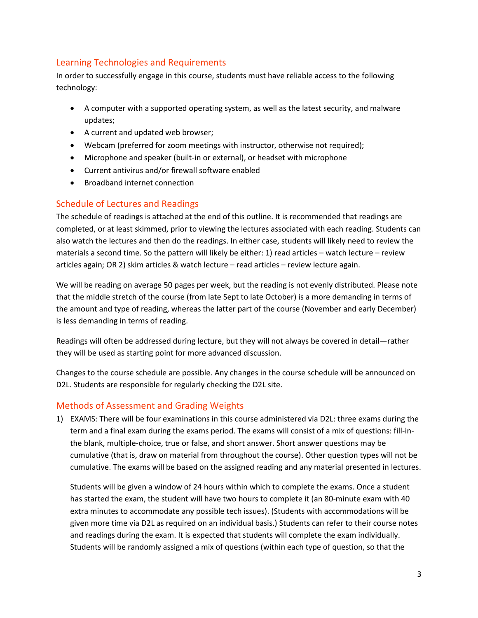# Learning Technologies and Requirements

In order to successfully engage in this course, students must have reliable access to the following technology:

- A computer with a supported operating system, as well as the latest security, and malware updates;
- A current and updated web browser;
- Webcam (preferred for zoom meetings with instructor, otherwise not required);
- Microphone and speaker (built-in or external), or headset with microphone
- Current antivirus and/or firewall software enabled
- Broadband internet connection

# Schedule of Lectures and Readings

The schedule of readings is attached at the end of this outline. It is recommended that readings are completed, or at least skimmed, prior to viewing the lectures associated with each reading. Students can also watch the lectures and then do the readings. In either case, students will likely need to review the materials a second time. So the pattern will likely be either: 1) read articles – watch lecture – review articles again; OR 2) skim articles & watch lecture – read articles – review lecture again.

We will be reading on average 50 pages per week, but the reading is not evenly distributed. Please note that the middle stretch of the course (from late Sept to late October) is a more demanding in terms of the amount and type of reading, whereas the latter part of the course (November and early December) is less demanding in terms of reading.

Readings will often be addressed during lecture, but they will not always be covered in detail—rather they will be used as starting point for more advanced discussion.

Changes to the course schedule are possible. Any changes in the course schedule will be announced on D2L. Students are responsible for regularly checking the D2L site.

### Methods of Assessment and Grading Weights

1) EXAMS: There will be four examinations in this course administered via D2L: three exams during the term and a final exam during the exams period. The exams will consist of a mix of questions: fill-inthe blank, multiple-choice, true or false, and short answer. Short answer questions may be cumulative (that is, draw on material from throughout the course). Other question types will not be cumulative. The exams will be based on the assigned reading and any material presented in lectures.

Students will be given a window of 24 hours within which to complete the exams. Once a student has started the exam, the student will have two hours to complete it (an 80-minute exam with 40 extra minutes to accommodate any possible tech issues). (Students with accommodations will be given more time via D2L as required on an individual basis.) Students can refer to their course notes and readings during the exam. It is expected that students will complete the exam individually. Students will be randomly assigned a mix of questions (within each type of question, so that the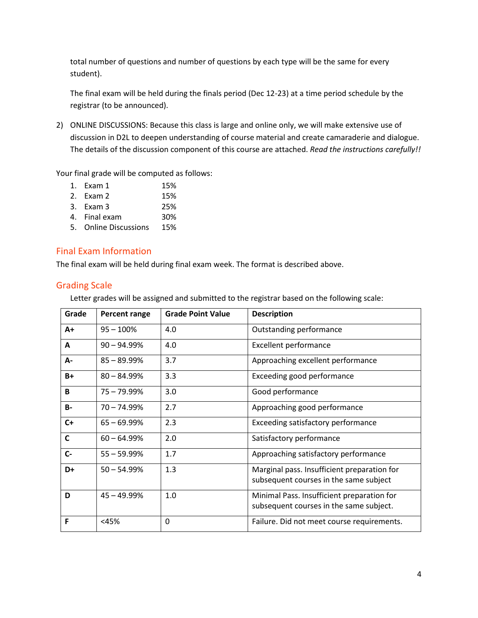total number of questions and number of questions by each type will be the same for every student).

The final exam will be held during the finals period (Dec 12-23) at a time period schedule by the registrar (to be announced).

2) ONLINE DISCUSSIONS: Because this class is large and online only, we will make extensive use of discussion in D2L to deepen understanding of course material and create camaraderie and dialogue. The details of the discussion component of this course are attached. *Read the instructions carefully!!*

Your final grade will be computed as follows:

- 1. Exam 1 15%
- 2. Exam 2 15%
- 3. Exam 3 25%
- 4. Final exam 30%
- 5. Online Discussions 15%

# Final Exam Information

The final exam will be held during final exam week. The format is described above.

### Grading Scale

Letter grades will be assigned and submitted to the registrar based on the following scale:

| Grade        | <b>Percent range</b> | <b>Grade Point Value</b> | <b>Description</b>                                                                    |
|--------------|----------------------|--------------------------|---------------------------------------------------------------------------------------|
| A+           | $95 - 100%$          | 4.0                      | Outstanding performance                                                               |
| A            | $90 - 94.99\%$       | 4.0                      | <b>Excellent performance</b>                                                          |
| А-           | $85 - 89.99%$        | 3.7                      | Approaching excellent performance                                                     |
| $B+$         | $80 - 84.99%$        | 3.3                      | Exceeding good performance                                                            |
| B            | $75 - 79.99\%$       | 3.0                      | Good performance                                                                      |
| <b>B-</b>    | $70 - 74.99%$        | 2.7                      | Approaching good performance                                                          |
| $C+$         | $65 - 69.99\%$       | 2.3                      | Exceeding satisfactory performance                                                    |
| $\mathsf{C}$ | $60 - 64.99%$        | 2.0                      | Satisfactory performance                                                              |
| $C -$        | $55 - 59.99%$        | 1.7                      | Approaching satisfactory performance                                                  |
| D+           | $50 - 54.99%$        | 1.3                      | Marginal pass. Insufficient preparation for<br>subsequent courses in the same subject |
| D            | $45 - 49.99%$        | 1.0                      | Minimal Pass. Insufficient preparation for<br>subsequent courses in the same subject. |
| F            | $<$ 45%              | 0                        | Failure. Did not meet course requirements.                                            |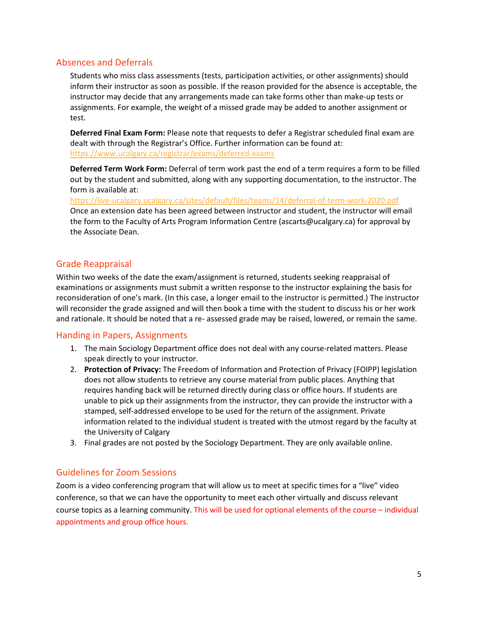### Absences and Deferrals

Students who miss class assessments (tests, participation activities, or other assignments) should inform their instructor as soon as possible. If the reason provided for the absence is acceptable, the instructor may decide that any arrangements made can take forms other than make-up tests or assignments. For example, the weight of a missed grade may be added to another assignment or test.

**Deferred Final Exam Form:** Please note that requests to defer a Registrar scheduled final exam are dealt with through the Registrar's Office. Further information can be found at: <https://www.ucalgary.ca/registrar/exams/deferred-exams>

**Deferred Term Work Form:** Deferral of term work past the end of a term requires a form to be filled out by the student and submitted, along with any supporting documentation, to the instructor. The form is available at:

<https://live-ucalgary.ucalgary.ca/sites/default/files/teams/14/deferral-of-term-work-2020.pdf> Once an extension date has been agreed between instructor and student, the instructor will email the form to the Faculty of Arts Program Information Centre (ascarts@ucalgary.ca) for approval by the Associate Dean.

### Grade Reappraisal

Within two weeks of the date the exam/assignment is returned, students seeking reappraisal of examinations or assignments must submit a written response to the instructor explaining the basis for reconsideration of one's mark. (In this case, a longer email to the instructor is permitted.) The instructor will reconsider the grade assigned and will then book a time with the student to discuss his or her work and rationale. It should be noted that a re- assessed grade may be raised, lowered, or remain the same.

#### Handing in Papers, Assignments

- 1. The main Sociology Department office does not deal with any course-related matters. Please speak directly to your instructor.
- 2. **Protection of Privacy:** The Freedom of Information and Protection of Privacy (FOIPP) legislation does not allow students to retrieve any course material from public places. Anything that requires handing back will be returned directly during class or office hours. If students are unable to pick up their assignments from the instructor, they can provide the instructor with a stamped, self-addressed envelope to be used for the return of the assignment. Private information related to the individual student is treated with the utmost regard by the faculty at the University of Calgary
- 3. Final grades are not posted by the Sociology Department. They are only available online.

### Guidelines for Zoom Sessions

Zoom is a video conferencing program that will allow us to meet at specific times for a "live" video conference, so that we can have the opportunity to meet each other virtually and discuss relevant course topics as a learning community. This will be used for optional elements of the course – individual appointments and group office hours.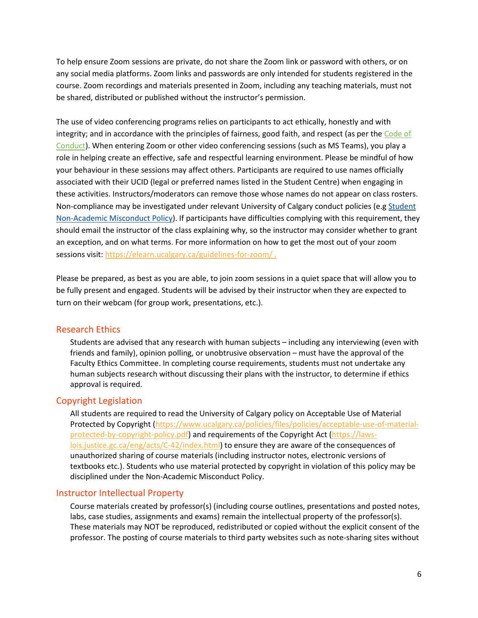To help ensure Zoom sessions are private, do not share the Zoom link or password with others, or on any social media platforms. Zoom links and passwords are only intended for students registered in the course. Zoom recordings and materials presented in Zoom, including any teaching materials, must not be shared, distributed or published without the instructor's permission.

The use of video conferencing programs relies on participants to act ethically, honestly and with integrity; and in accordance with the principles of fairness, good faith, and respect (as per the [Code of](https://www.ucalgary.ca/policies/files/policies/code-of-conduct.pdf)  [Conduct\)](https://www.ucalgary.ca/policies/files/policies/code-of-conduct.pdf). When entering Zoom or other video conferencing sessions (such as MS Teams), you play a role in helping create an effective, safe and respectful learning environment. Please be mindful of how your behaviour in these sessions may affect others. Participants are required to use names officially associated with their UCID (legal or preferred names listed in the Student Centre) when engaging in these activities. Instructors/moderators can remove those whose names do not appear on class rosters. Non-compliance may be investigated under relevant University of Calgary conduct policies (e.g Student [Non-Academic Misconduct Policy\)](https://ucalgary.ca/policies/files/policies/non-academic-misconduct-policy.pdf). If participants have difficulties complying with this requirement, they should email the instructor of the class explaining why, so the instructor may consider whether to grant an exception, and on what terms. For more information on how to get the most out of your zoom sessions visit[: https://elearn.ucalgary.ca/guidelines-for-zoom/](https://elearn.ucalgary.ca/guidelines-for-zoom/).

Please be prepared, as best as you are able, to join zoom sessions in a quiet space that will allow you to be fully present and engaged. Students will be advised by their instructor when they are expected to turn on their webcam (for group work, presentations, etc.).

#### Research Ethics

Students are advised that any research with human subjects – including any interviewing (even with friends and family), opinion polling, or unobtrusive observation – must have the approval of the Faculty Ethics Committee. In completing course requirements, students must not undertake any human subjects research without discussing their plans with the instructor, to determine if ethics approval is required.

#### Copyright Legislation

All students are required to read the University of Calgary policy on Acceptable Use of Material Protected by Copyright [\(https://www.ucalgary.ca/policies/files/policies/acceptable-use-of-material](https://www.ucalgary.ca/policies/files/policies/acceptable-use-of-material-protected-by-copyright-policy.pdf)[protected-by-copyright-policy.pdf\)](https://www.ucalgary.ca/policies/files/policies/acceptable-use-of-material-protected-by-copyright-policy.pdf) and requirements of the Copyright Act [\(https://laws](https://laws-lois.justice.gc.ca/eng/acts/C-42/index.html)[lois.justice.gc.ca/eng/acts/C-42/index.html\)](https://laws-lois.justice.gc.ca/eng/acts/C-42/index.html) to ensure they are aware of the consequences of unauthorized sharing of course materials (including instructor notes, electronic versions of textbooks etc.). Students who use material protected by copyright in violation of this policy may be disciplined under the Non-Academic Misconduct Policy.

#### Instructor Intellectual Property

Course materials created by professor(s) (including course outlines, presentations and posted notes, labs, case studies, assignments and exams) remain the intellectual property of the professor(s). These materials may NOT be reproduced, redistributed or copied without the explicit consent of the professor. The posting of course materials to third party websites such as note-sharing sites without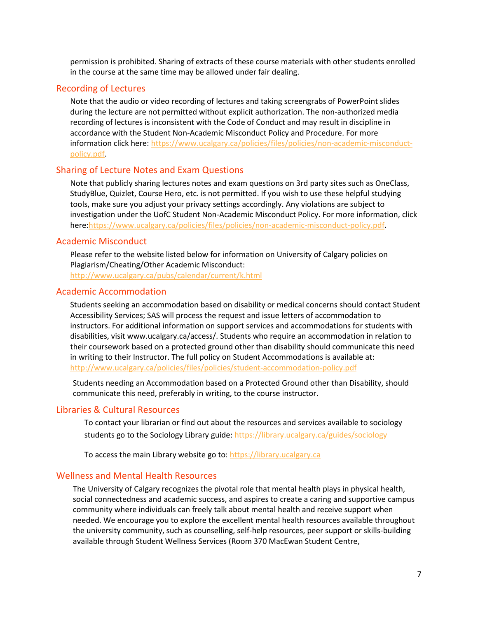permission is prohibited. Sharing of extracts of these course materials with other students enrolled in the course at the same time may be allowed under fair dealing.

#### Recording of Lectures

Note that the audio or video recording of lectures and taking screengrabs of PowerPoint slides during the lecture are not permitted without explicit authorization. The non-authorized media recording of lectures is inconsistent with the Code of Conduct and may result in discipline in accordance with the Student Non-Academic Misconduct Policy and Procedure. For more information click here: [https://www.ucalgary.ca/policies/files/policies/non-academic-misconduct](https://www.ucalgary.ca/policies/files/policies/non-academic-misconduct-policy.pdf)[policy.pdf.](https://www.ucalgary.ca/policies/files/policies/non-academic-misconduct-policy.pdf)

#### Sharing of Lecture Notes and Exam Questions

Note that publicly sharing lectures notes and exam questions on 3rd party sites such as OneClass, StudyBlue, Quizlet, Course Hero, etc. is not permitted. If you wish to use these helpful studying tools, make sure you adjust your privacy settings accordingly. Any violations are subject to investigation under the UofC Student Non-Academic Misconduct Policy. For more information, click here[:https://www.ucalgary.ca/policies/files/policies/non-academic-misconduct-policy.pdf.](https://www.ucalgary.ca/policies/files/policies/non-academic-misconduct-policy.pdf)

#### Academic Misconduct

Please refer to the website listed below for information on University of Calgary policies on Plagiarism/Cheating/Other Academic Misconduct:

<http://www.ucalgary.ca/pubs/calendar/current/k.html>

#### Academic Accommodation

Students seeking an accommodation based on disability or medical concerns should contact Student Accessibility Services; SAS will process the request and issue letters of accommodation to instructors. For additional information on support services and accommodations for students with disabilities, visit www.ucalgary.ca/access/. Students who require an accommodation in relation to their coursework based on a protected ground other than disability should communicate this need in writing to their Instructor. The full policy on Student Accommodations is available at: <http://www.ucalgary.ca/policies/files/policies/student-accommodation-policy.pdf>

Students needing an Accommodation based on a Protected Ground other than Disability, should communicate this need, preferably in writing, to the course instructor.

#### Libraries & Cultural Resources

To contact your librarian or find out about the resources and services available to sociology students go to the Sociology Library guide[: https://library.ucalgary.ca/guides/sociology](https://library.ucalgary.ca/guides/sociology)

To access the main Library website go to: [https://library.ucalgary.ca](https://library.ucalgary.ca/)

#### Wellness and Mental Health Resources

The University of Calgary recognizes the pivotal role that mental health plays in physical health, social connectedness and academic success, and aspires to create a caring and supportive campus community where individuals can freely talk about mental health and receive support when needed. We encourage you to explore the excellent mental health resources available throughout the university community, such as counselling, self-help resources, peer support or skills-building available through Student Wellness Services (Room 370 MacEwan Student Centre,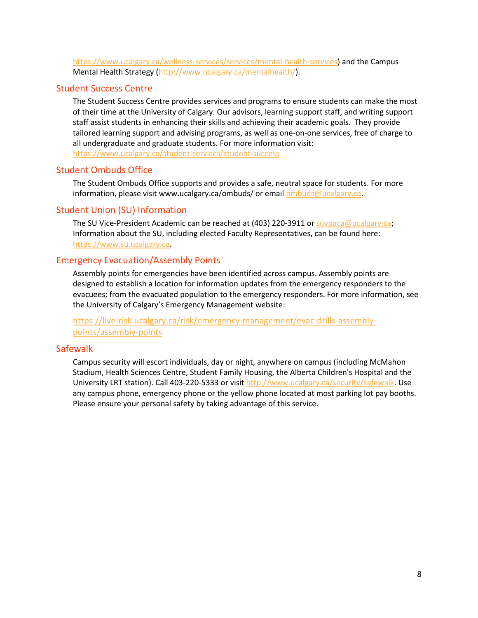[https://www.ucalgary.ca/wellness-services/services/mental-health-services\)](https://www.ucalgary.ca/wellness-services/services/mental-health-services) and the Campus Mental Health Strategy [\(http://www.ucalgary.ca/mentalhealth/\)](http://www.ucalgary.ca/mentalhealth/).

### Student Success Centre

The Student Success Centre provides services and programs to ensure students can make the most of their time at the University of Calgary. Our advisors, learning support staff, and writing support staff assist students in enhancing their skills and achieving their academic goals. They provide tailored learning support and advising programs, as well as one-on-one services, free of charge to all undergraduate and graduate students. For more information visit: <https://www.ucalgary.ca/student-services/student-success>

#### Student Ombuds Office

The Student Ombuds Office supports and provides a safe, neutral space for students. For more information, please visit www.ucalgary.ca/ombuds/ or emai[l ombuds@ucalgary.ca.](file://trifs1.uc.ucalgary.ca/SOCI/Admin/07_Course%20Outlines/ombuds@ucalgary.ca)

### Student Union (SU) Information

The SU Vice-President Academic can be reached at (403) 220-3911 or [suvpaca@ucalgary.ca;](file://trifs1.uc.ucalgary.ca/SOCI/Admin/07_Course%20Outlines/suvpaca@ucalgary.ca) Information about the SU, including elected Faculty Representatives, can be found here: [https://www.su.ucalgary.ca.](https://www.su.ucalgary.ca/)

### Emergency Evacuation/Assembly Points

Assembly points for emergencies have been identified across campus. Assembly points are designed to establish a location for information updates from the emergency responders to the evacuees; from the evacuated population to the emergency responders. For more information, see the University of Calgary's Emergency Management website:

[https://live-risk.ucalgary.ca/risk/emergency-management/evac-drills-assembly](https://live-risk.ucalgary.ca/risk/emergency-management/evac-drills-assembly-points/assembly-points)[points/assembly-points](https://live-risk.ucalgary.ca/risk/emergency-management/evac-drills-assembly-points/assembly-points)

#### **Safewalk**

Campus security will escort individuals, day or night, anywhere on campus (including McMahon Stadium, Health Sciences Centre, Student Family Housing, the Alberta Children's Hospital and the University LRT station). Call 403-220-5333 or visit [http://www.ucalgary.ca/security/safewalk.](http://www.ucalgary.ca/security/safewalk) Use any campus phone, emergency phone or the yellow phone located at most parking lot pay booths. Please ensure your personal safety by taking advantage of this service.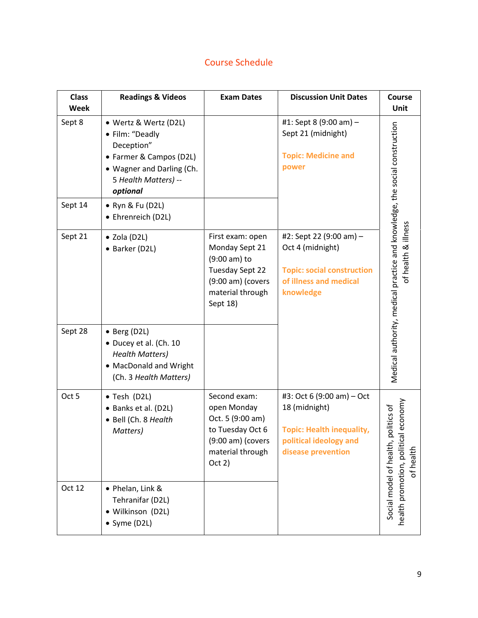# Course Schedule

| <b>Class</b> | <b>Readings &amp; Videos</b>                                                                                                                       | <b>Exam Dates</b>                                                                                                            | <b>Discussion Unit Dates</b>                                                                                                   | Course                                                                                            |
|--------------|----------------------------------------------------------------------------------------------------------------------------------------------------|------------------------------------------------------------------------------------------------------------------------------|--------------------------------------------------------------------------------------------------------------------------------|---------------------------------------------------------------------------------------------------|
| <b>Week</b>  |                                                                                                                                                    |                                                                                                                              |                                                                                                                                | Unit                                                                                              |
| Sept 8       | • Wertz & Wertz (D2L)<br>• Film: "Deadly<br>Deception"<br>• Farmer & Campos (D2L)<br>• Wagner and Darling (Ch.<br>5 Health Matters) --<br>optional |                                                                                                                              | #1: Sept 8 (9:00 am) -<br>Sept 21 (midnight)<br><b>Topic: Medicine and</b><br>power                                            |                                                                                                   |
| Sept 14      | • Ryn & Fu (D2L)<br>• Ehrenreich (D2L)                                                                                                             |                                                                                                                              |                                                                                                                                |                                                                                                   |
| Sept 21      | • Zola (D2L)<br>• Barker (D2L)                                                                                                                     | First exam: open<br>Monday Sept 21<br>(9:00 am) to<br>Tuesday Sept 22<br>$(9:00 am)$ (covers<br>material through<br>Sept 18) | #2: Sept 22 (9:00 am) -<br>Oct 4 (midnight)<br><b>Topic: social construction</b><br>of illness and medical<br>knowledge        | Medical authority, medical practice and knowledge, the social construction<br>of health & illness |
| Sept 28      | • Berg (D2L)<br>• Ducey et al. (Ch. 10<br><b>Health Matters)</b><br>• MacDonald and Wright<br>(Ch. 3 Health Matters)                               |                                                                                                                              |                                                                                                                                |                                                                                                   |
| Oct 5        | • Tesh (D2L)<br>• Banks et al. (D2L)<br>· Bell (Ch. 8 Health<br>Matters)                                                                           | Second exam:<br>open Monday<br>Oct. 5 (9:00 am)<br>to Tuesday Oct 6<br>$(9:00 am)$ (covers<br>material through<br>Oct 2)     | #3: Oct 6 (9:00 am) - Oct<br>18 (midnight)<br><b>Topic: Health inequality,</b><br>political ideology and<br>disease prevention | al economy<br>politics of<br>Social model of health,<br>of health                                 |
| Oct 12       | • Phelan, Link &<br>Tehranifar (D2L)<br>· Wilkinson (D2L)<br>• Syme (D2L)                                                                          |                                                                                                                              |                                                                                                                                | health promotion, politi                                                                          |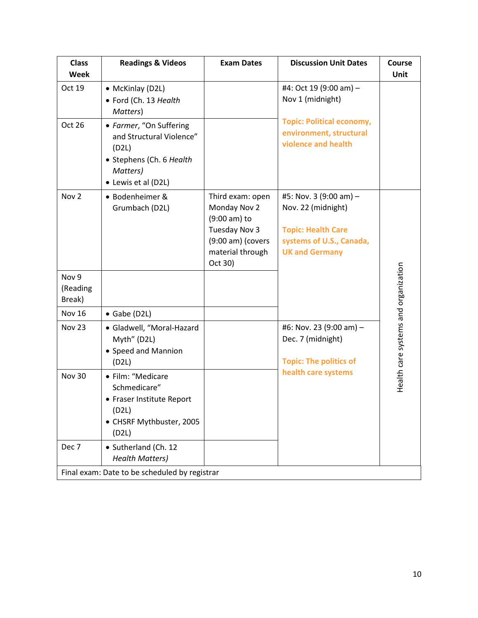| <b>Class</b><br>Week                          | <b>Readings &amp; Videos</b>                                                                                                | <b>Exam Dates</b>                                                                                                                 | <b>Discussion Unit Dates</b>                                                                                                   | <b>Course</b><br><b>Unit</b>         |  |
|-----------------------------------------------|-----------------------------------------------------------------------------------------------------------------------------|-----------------------------------------------------------------------------------------------------------------------------------|--------------------------------------------------------------------------------------------------------------------------------|--------------------------------------|--|
| Oct 19                                        | • McKinlay (D2L)<br>• Ford (Ch. 13 Health<br>Matters)                                                                       |                                                                                                                                   | #4: Oct 19 (9:00 am) -<br>Nov 1 (midnight)                                                                                     |                                      |  |
| Oct 26                                        | • Farmer, "On Suffering<br>and Structural Violence"<br>(D2L)<br>• Stephens (Ch. 6 Health<br>Matters)<br>• Lewis et al (D2L) |                                                                                                                                   | <b>Topic: Political economy,</b><br>environment, structural<br>violence and health                                             |                                      |  |
| Nov <sub>2</sub>                              | • Bodenheimer &<br>Grumbach (D2L)                                                                                           | Third exam: open<br>Monday Nov 2<br>$(9:00 \text{ am})$ to<br>Tuesday Nov 3<br>$(9:00 am)$ (covers<br>material through<br>Oct 30) | #5: Nov. 3 (9:00 am) -<br>Nov. 22 (midnight)<br><b>Topic: Health Care</b><br>systems of U.S., Canada,<br><b>UK and Germany</b> |                                      |  |
| Nov <sub>9</sub><br>(Reading<br>Break)        |                                                                                                                             |                                                                                                                                   |                                                                                                                                |                                      |  |
| Nov 16                                        | $\bullet$ Gabe (D2L)                                                                                                        |                                                                                                                                   |                                                                                                                                |                                      |  |
| <b>Nov 23</b>                                 | · Gladwell, "Moral-Hazard<br>Myth" (D2L)<br>• Speed and Mannion<br>(D2L)                                                    |                                                                                                                                   | #6: Nov. 23 (9:00 am) -<br>Dec. 7 (midnight)<br><b>Topic: The politics of</b>                                                  | Health care systems and organization |  |
| <b>Nov 30</b>                                 | • Film: "Medicare<br>Schmedicare"<br>• Fraser Institute Report<br>(D2L)<br>• CHSRF Mythbuster, 2005<br>(D2L)                |                                                                                                                                   | health care systems                                                                                                            |                                      |  |
| Dec 7                                         | • Sutherland (Ch. 12<br><b>Health Matters)</b>                                                                              |                                                                                                                                   |                                                                                                                                |                                      |  |
| Final exam: Date to be scheduled by registrar |                                                                                                                             |                                                                                                                                   |                                                                                                                                |                                      |  |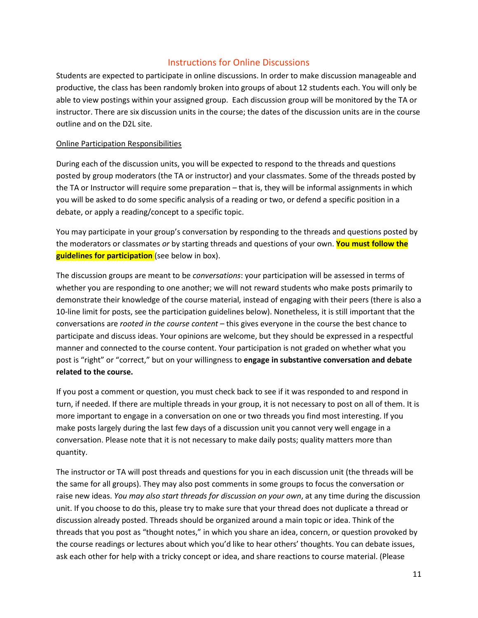### Instructions for Online Discussions

Students are expected to participate in online discussions. In order to make discussion manageable and productive, the class has been randomly broken into groups of about 12 students each. You will only be able to view postings within your assigned group. Each discussion group will be monitored by the TA or instructor. There are six discussion units in the course; the dates of the discussion units are in the course outline and on the D2L site.

#### Online Participation Responsibilities

During each of the discussion units, you will be expected to respond to the threads and questions posted by group moderators (the TA or instructor) and your classmates. Some of the threads posted by the TA or Instructor will require some preparation – that is, they will be informal assignments in which you will be asked to do some specific analysis of a reading or two, or defend a specific position in a debate, or apply a reading/concept to a specific topic.

You may participate in your group's conversation by responding to the threads and questions posted by the moderators or classmates *or* by starting threads and questions of your own. **You must follow the guidelines for participation** (see below in box).

The discussion groups are meant to be *conversations*: your participation will be assessed in terms of whether you are responding to one another; we will not reward students who make posts primarily to demonstrate their knowledge of the course material, instead of engaging with their peers (there is also a 10-line limit for posts, see the participation guidelines below). Nonetheless, it is still important that the conversations are *rooted in the course content* – this gives everyone in the course the best chance to participate and discuss ideas. Your opinions are welcome, but they should be expressed in a respectful manner and connected to the course content. Your participation is not graded on whether what you post is "right" or "correct," but on your willingness to **engage in substantive conversation and debate related to the course.**

If you post a comment or question, you must check back to see if it was responded to and respond in turn, if needed. If there are multiple threads in your group, it is not necessary to post on all of them. It is more important to engage in a conversation on one or two threads you find most interesting. If you make posts largely during the last few days of a discussion unit you cannot very well engage in a conversation. Please note that it is not necessary to make daily posts; quality matters more than quantity.

The instructor or TA will post threads and questions for you in each discussion unit (the threads will be the same for all groups). They may also post comments in some groups to focus the conversation or raise new ideas. *You may also start threads for discussion on your own*, at any time during the discussion unit. If you choose to do this, please try to make sure that your thread does not duplicate a thread or discussion already posted. Threads should be organized around a main topic or idea. Think of the threads that you post as "thought notes," in which you share an idea, concern, or question provoked by the course readings or lectures about which you'd like to hear others' thoughts. You can debate issues, ask each other for help with a tricky concept or idea, and share reactions to course material. (Please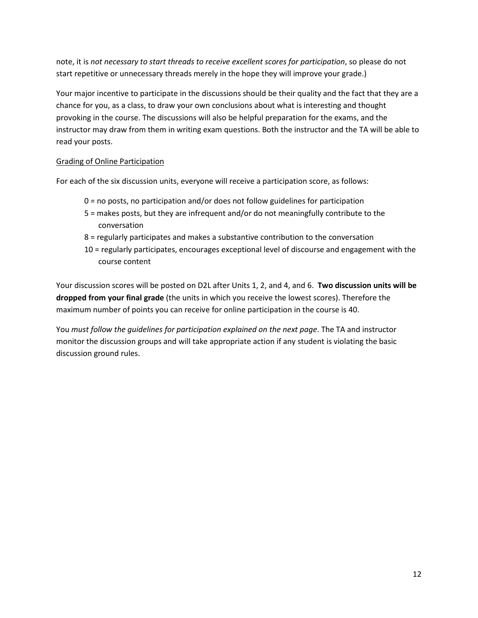note, it is *not necessary to start threads to receive excellent scores for participation*, so please do not start repetitive or unnecessary threads merely in the hope they will improve your grade.)

Your major incentive to participate in the discussions should be their quality and the fact that they are a chance for you, as a class, to draw your own conclusions about what is interesting and thought provoking in the course. The discussions will also be helpful preparation for the exams, and the instructor may draw from them in writing exam questions. Both the instructor and the TA will be able to read your posts.

### Grading of Online Participation

For each of the six discussion units, everyone will receive a participation score, as follows:

- 0 = no posts, no participation and/or does not follow guidelines for participation
- 5 = makes posts, but they are infrequent and/or do not meaningfully contribute to the conversation
- 8 = regularly participates and makes a substantive contribution to the conversation
- 10 = regularly participates, encourages exceptional level of discourse and engagement with the course content

Your discussion scores will be posted on D2L after Units 1, 2, and 4, and 6. **Two discussion units will be dropped from your final grade** (the units in which you receive the lowest scores). Therefore the maximum number of points you can receive for online participation in the course is 40.

You *must follow the guidelines for participation explained on the next page*. The TA and instructor monitor the discussion groups and will take appropriate action if any student is violating the basic discussion ground rules.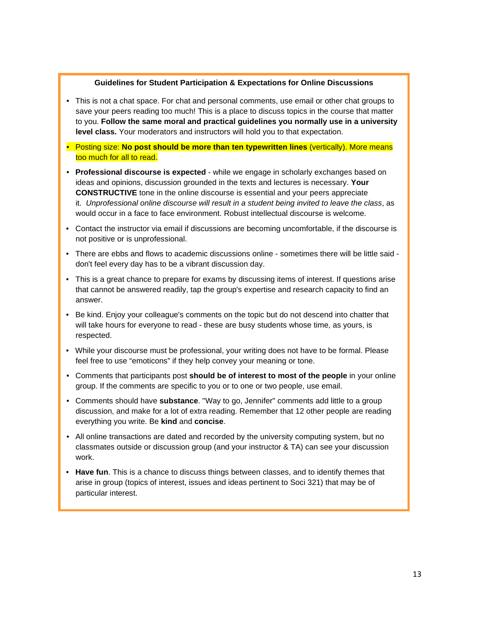#### **Guidelines for Student Participation & Expectations for Online Discussions**

- This is not a chat space. For chat and personal comments, use email or other chat groups to save your peers reading too much! This is a place to discuss topics in the course that matter to you. **Follow the same moral and practical guidelines you normally use in a university level class.** Your moderators and instructors will hold you to that expectation.
- Posting size: **No post should be more than ten typewritten lines** (vertically). More means too much for all to read.
- **Professional discourse is expected** while we engage in scholarly exchanges based on ideas and opinions, discussion grounded in the texts and lectures is necessary. **Your CONSTRUCTIVE** tone in the online discourse is essential and your peers appreciate it. *Unprofessional online discourse will result in a student being invited to leave the class*, as would occur in a face to face environment. Robust intellectual discourse is welcome.
- Contact the instructor via email if discussions are becoming uncomfortable, if the discourse is not positive or is unprofessional.
- There are ebbs and flows to academic discussions online sometimes there will be little said don't feel every day has to be a vibrant discussion day.
- This is a great chance to prepare for exams by discussing items of interest. If questions arise that cannot be answered readily, tap the group's expertise and research capacity to find an answer.
- Be kind. Enjoy your colleague's comments on the topic but do not descend into chatter that will take hours for everyone to read - these are busy students whose time, as yours, is respected.
- While your discourse must be professional, your writing does not have to be formal. Please feel free to use "emoticons" if they help convey your meaning or tone.
- Comments that participants post **should be of interest to most of the people** in your online group. If the comments are specific to you or to one or two people, use email.
- Comments should have **substance**. "Way to go, Jennifer" comments add little to a group discussion, and make for a lot of extra reading. Remember that 12 other people are reading everything you write. Be **kind** and **concise**.
- All online transactions are dated and recorded by the university computing system, but no classmates outside or discussion group (and your instructor & TA) can see your discussion work.
- **Have fun**. This is a chance to discuss things between classes, and to identify themes that arise in group (topics of interest, issues and ideas pertinent to Soci 321) that may be of particular interest.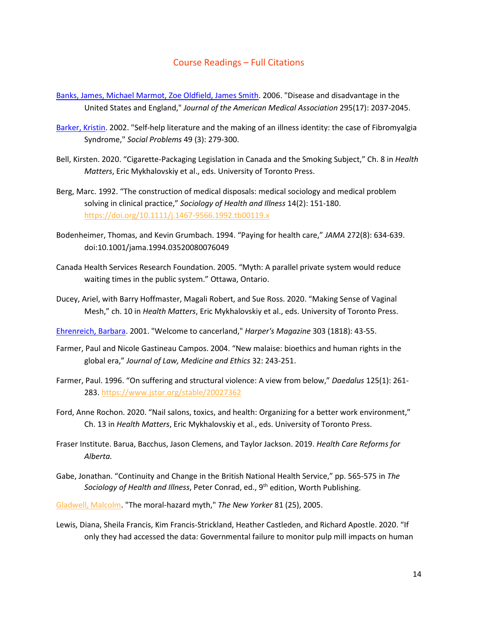#### Course Readings – Full Citations

- [Banks, James, Michael Marmot, Zoe Oldfield, James Smith.](http://jama.ama-assn.org/content/295/17/2037.full) 2006. "Disease and disadvantage in the United States and England," *Journal of the American Medical Association* 295(17): 2037-2045.
- [Barker, Kristin.](http://www.jstor.org/stable/10.1525/sp.2002.49.3.279) 2002. "Self-help literature and the making of an illness identity: the case of Fibromyalgia Syndrome," *Social Problems* 49 (3): 279-300.
- Bell, Kirsten. 2020. "Cigarette-Packaging Legislation in Canada and the Smoking Subject," Ch. 8 in *Health Matters*, Eric Mykhalovskiy et al., eds. University of Toronto Press.
- Berg, Marc. 1992. "The construction of medical disposals: medical sociology and medical problem solving in clinical practice," *Sociology of Health and Illness* 14(2): 151-180. <https://doi.org/10.1111/j.1467-9566.1992.tb00119.x>
- Bodenheimer, Thomas, and Kevin Grumbach. 1994. "Paying for health care," *JAMA* 272(8): 634-639. doi:10.1001/jama.1994.03520080076049
- Canada Health Services Research Foundation. 2005. "Myth: A parallel private system would reduce waiting times in the public system." Ottawa, Ontario.
- Ducey, Ariel, with Barry Hoffmaster, Magali Robert, and Sue Ross. 2020. "Making Sense of Vaginal Mesh," ch. 10 in *Health Matters*, Eric Mykhalovskiy et al., eds. University of Toronto Press.

[Ehrenreich, Barbara.](http://pinkribbonblues.org/wp-content/uploads/2010/08/Ehrenreich-2001-WelcomeToCancerland-Harpers.pdf) 2001. "Welcome to cancerland," *Harper's Magazine* 303 (1818): 43-55.

- Farmer, Paul and Nicole Gastineau Campos. 2004. "New malaise: bioethics and human rights in the global era," *Journal of Law, Medicine and Ethics* 32: 243-251.
- Farmer, Paul. 1996. "On suffering and structural violence: A view from below," *Daedalus* 125(1): 261- 283.<https://www.jstor.org/stable/20027362>
- Ford, Anne Rochon. 2020. "Nail salons, toxics, and health: Organizing for a better work environment," Ch. 13 in *Health Matters*, Eric Mykhalovskiy et al., eds. University of Toronto Press.
- Fraser Institute. Barua, Bacchus, Jason Clemens, and Taylor Jackson. 2019. *Health Care Reforms for Alberta.*
- Gabe, Jonathan. "Continuity and Change in the British National Health Service," pp. 565-575 in *The Sociology of Health and Illness*, Peter Conrad, ed., 9th edition, Worth Publishing.

[Gladwell, Malcolm.](http://go.galegroup.com.ezproxy.lib.ucalgary.ca/ps/i.do?action=interpret&id=GALE|A137759724&v=2.1&u=ucalgary&it=r&p=AONE&sw=w&authCount=1) "The moral-hazard myth," *The New Yorker* 81 (25), 2005.

Lewis, Diana, Sheila Francis, Kim Francis-Strickland, Heather Castleden, and Richard Apostle. 2020. "If only they had accessed the data: Governmental failure to monitor pulp mill impacts on human